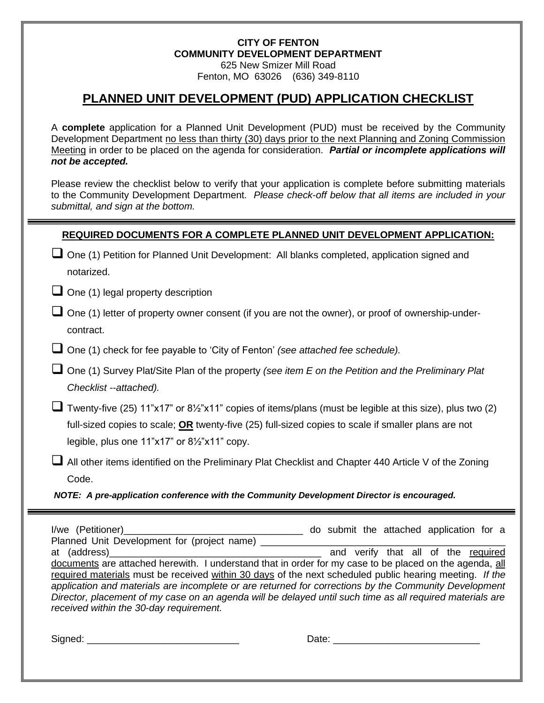#### **CITY OF FENTON COMMUNITY DEVELOPMENT DEPARTMENT** 625 New Smizer Mill Road Fenton, MO 63026 (636) 349-8110

# **PLANNED UNIT DEVELOPMENT (PUD) APPLICATION CHECKLIST**

A **complete** application for a Planned Unit Development (PUD) must be received by the Community Development Department no less than thirty (30) days prior to the next Planning and Zoning Commission Meeting in order to be placed on the agenda for consideration. *Partial or incomplete applications will not be accepted.* 

Please review the checklist below to verify that your application is complete before submitting materials to the Community Development Department. *Please check-off below that all items are included in your submittal, and sign at the bottom.*

#### **REQUIRED DOCUMENTS FOR A COMPLETE PLANNED UNIT DEVELOPMENT APPLICATION:**

| $\Box$ One (1) Petition for Planned Unit Development: All blanks completed, application signed and |  |
|----------------------------------------------------------------------------------------------------|--|
| notarized.                                                                                         |  |

 $\Box$  One (1) legal property description

- $\square$  One (1) letter of property owner consent (if you are not the owner), or proof of ownership-undercontract.
- ❑ One (1) check for fee payable to 'City of Fenton' *(see attached fee schedule).*
- ❑ One (1) Survey Plat/Site Plan of the property *(see item E on the Petition and the Preliminary Plat Checklist --attached).*

■ Twenty-five (25) 11"x17" or 8½"x11" copies of items/plans (must be legible at this size), plus two (2) full-sized copies to scale; **OR** twenty-five (25) full-sized copies to scale if smaller plans are not legible, plus one 11"x17" or 8½"x11" copy.

❑ All other items identified on the Preliminary Plat Checklist and Chapter 440 Article V of the Zoning Code.

*NOTE: A pre-application conference with the Community Development Director is encouraged.*

I/we (Petitioner)\_\_\_\_\_\_\_\_\_\_\_\_\_\_\_\_\_\_\_\_\_\_\_\_\_\_\_\_\_\_\_\_\_ do submit the attached application for a Planned Unit Development for (project name) \_\_\_\_\_\_\_\_\_\_\_\_\_\_\_\_\_\_\_\_\_\_\_\_\_\_\_\_\_\_\_\_\_\_\_\_\_\_\_\_\_\_\_\_\_ at (address) and verify that all of the required documents are attached herewith. I understand that in order for my case to be placed on the agenda, all required materials must be received within 30 days of the next scheduled public hearing meeting. *If the application and materials are incomplete or are returned for corrections by the Community Development Director, placement of my case on an agenda will be delayed until such time as all required materials are received within the 30-day requirement.*

Signed: \_\_\_\_\_\_\_\_\_\_\_\_\_\_\_\_\_\_\_\_\_\_\_\_\_\_\_\_ Date: \_\_\_\_\_\_\_\_\_\_\_\_\_\_\_\_\_\_\_\_\_\_\_\_\_\_\_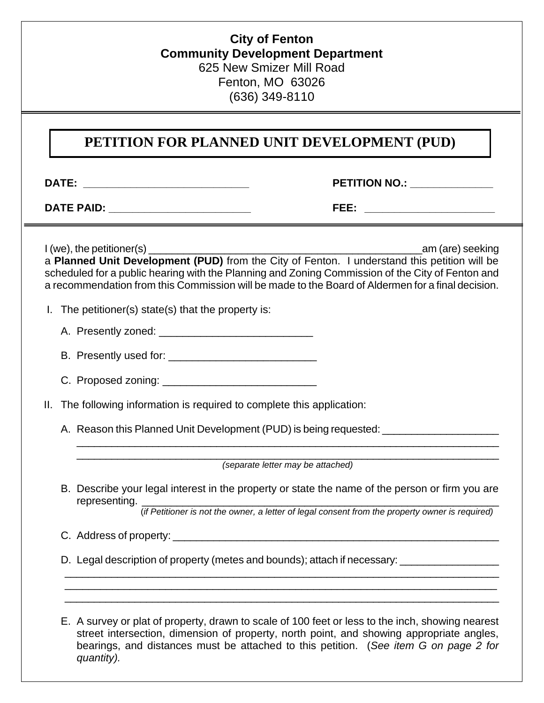## **City of Fenton Community Development Department** 625 New Smizer Mill Road Fenton, MO 63026 (636) 349-8110

# **PETITION FOR PLANNED UNIT DEVELOPMENT (PUD)**

**DATE: \_\_\_\_\_\_\_\_\_\_\_\_\_\_\_\_\_\_\_\_\_\_\_\_\_\_\_\_ PETITION NO.: \_\_\_\_\_\_\_\_\_\_\_\_\_\_**

**DATE PAID: \_\_\_\_\_\_\_\_\_\_\_\_\_\_\_\_\_\_\_\_\_\_\_\_ FEE: \_\_\_\_\_\_\_\_\_\_\_\_\_\_\_\_\_\_\_\_\_\_**

I (we), the petitioner(s) \_\_\_\_\_\_\_\_\_\_\_\_\_\_\_\_\_\_\_\_\_\_\_\_\_\_\_\_\_\_\_\_\_\_\_\_\_\_\_\_\_\_\_\_\_\_\_am (are) seeking a **Planned Unit Development (PUD)** from the City of Fenton. I understand this petition will be scheduled for a public hearing with the Planning and Zoning Commission of the City of Fenton and a recommendation from this Commission will be made to the Board of Aldermen for a final decision.

- I. The petitioner(s) state(s) that the property is:
	- A. Presently zoned: \_\_\_\_\_\_\_\_\_\_\_\_\_\_\_\_\_\_\_\_\_\_\_\_\_\_
	- B. Presently used for: \_\_\_\_\_\_\_\_\_\_\_\_\_\_\_\_\_\_\_\_\_\_\_\_\_
	- C. Proposed zoning: \_\_\_\_\_\_\_\_\_\_\_\_\_\_\_\_\_\_\_\_\_\_\_\_\_\_

II. The following information is required to complete this application:

A. Reason this Planned Unit Development (PUD) is being requested: \_\_\_\_\_\_\_\_\_\_\_\_\_\_

\_\_\_\_\_\_\_\_\_\_\_\_\_\_\_\_\_\_\_\_\_\_\_\_\_\_\_\_\_\_\_\_\_\_\_\_\_\_\_\_\_\_\_\_\_\_\_\_\_\_\_\_\_\_\_\_\_\_\_\_\_\_\_\_\_\_\_\_\_\_\_\_\_ *(separate letter may be attached)*

\_\_\_\_\_\_\_\_\_\_\_\_\_\_\_\_\_\_\_\_\_\_\_\_\_\_\_\_\_\_\_\_\_\_\_\_\_\_\_\_\_\_\_\_\_\_\_\_\_\_\_\_\_\_\_\_\_\_\_\_\_\_\_\_\_\_\_\_\_\_\_\_\_

B. Describe your legal interest in the property or state the name of the person or firm you are representing.

(*if Petitioner is not the owner, a letter of legal consent from the property owner is required)*

- C. Address of property: \_\_\_\_\_\_\_\_\_\_\_\_\_\_\_\_\_\_\_\_\_\_\_\_\_\_\_\_\_\_\_\_\_\_\_\_\_\_\_\_\_\_\_\_\_\_\_\_\_\_\_\_\_\_\_\_
- D. Legal description of property (metes and bounds); attach if necessary: \_\_\_\_\_\_\_\_\_\_\_\_\_\_\_\_\_\_\_\_\_\_\_\_\_\_ \_\_\_\_\_\_\_\_\_\_\_\_\_\_\_\_\_\_\_\_\_\_\_\_\_\_\_\_\_\_\_\_\_\_\_\_\_\_\_\_\_\_\_\_\_\_\_\_\_\_\_\_\_\_\_\_\_\_\_\_\_\_\_\_\_\_\_\_\_\_\_\_\_\_\_

E. A survey or plat of property, drawn to scale of 100 feet or less to the inch, showing nearest street intersection, dimension of property, north point, and showing appropriate angles, bearings, and distances must be attached to this petition. (*See item G on page 2 for quantity).*

\_\_\_\_\_\_\_\_\_\_\_\_\_\_\_\_\_\_\_\_\_\_\_\_\_\_\_\_\_\_\_\_\_\_\_\_\_\_\_\_\_\_\_\_\_\_\_\_\_\_\_\_\_\_\_\_\_\_\_\_\_\_\_\_\_\_\_\_\_\_\_\_\_ \_\_\_\_\_\_\_\_\_\_\_\_\_\_\_\_\_\_\_\_\_\_\_\_\_\_\_\_\_\_\_\_\_\_\_\_\_\_\_\_\_\_\_\_\_\_\_\_\_\_\_\_\_\_\_\_\_\_\_\_\_\_\_\_\_\_\_\_\_\_\_\_\_\_\_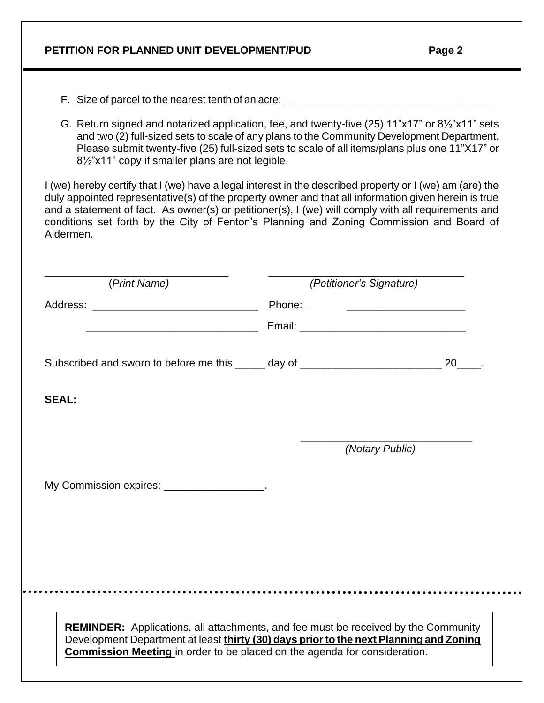| G. Return signed and notarized application, fee, and twenty-five (25) 11"x17" or 81/2"x11" sets<br>81/2"x11" copy if smaller plans are not legible.                                                                                                                                                                                                                                                                              | and two (2) full-sized sets to scale of any plans to the Community Development Department.<br>Please submit twenty-five (25) full-sized sets to scale of all items/plans plus one 11"X17" or |
|----------------------------------------------------------------------------------------------------------------------------------------------------------------------------------------------------------------------------------------------------------------------------------------------------------------------------------------------------------------------------------------------------------------------------------|----------------------------------------------------------------------------------------------------------------------------------------------------------------------------------------------|
| I (we) hereby certify that I (we) have a legal interest in the described property or I (we) am (are) the<br>duly appointed representative(s) of the property owner and that all information given herein is true<br>and a statement of fact. As owner(s) or petitioner(s), I (we) will comply with all requirements and<br>conditions set forth by the City of Fenton's Planning and Zoning Commission and Board of<br>Aldermen. |                                                                                                                                                                                              |
| (Print Name)                                                                                                                                                                                                                                                                                                                                                                                                                     | (Petitioner's Signature)                                                                                                                                                                     |
|                                                                                                                                                                                                                                                                                                                                                                                                                                  |                                                                                                                                                                                              |
| <u> 2000 - Jan James James Barnett, fransk politik (d. 18</u>                                                                                                                                                                                                                                                                                                                                                                    |                                                                                                                                                                                              |
| Subscribed and sworn to before me this _____ day of _____________________________ 20____.                                                                                                                                                                                                                                                                                                                                        |                                                                                                                                                                                              |
| <b>SEAL:</b>                                                                                                                                                                                                                                                                                                                                                                                                                     |                                                                                                                                                                                              |
|                                                                                                                                                                                                                                                                                                                                                                                                                                  | (Notary Public)                                                                                                                                                                              |
| My Commission expires: ________________                                                                                                                                                                                                                                                                                                                                                                                          |                                                                                                                                                                                              |
|                                                                                                                                                                                                                                                                                                                                                                                                                                  |                                                                                                                                                                                              |
|                                                                                                                                                                                                                                                                                                                                                                                                                                  |                                                                                                                                                                                              |
|                                                                                                                                                                                                                                                                                                                                                                                                                                  |                                                                                                                                                                                              |
|                                                                                                                                                                                                                                                                                                                                                                                                                                  |                                                                                                                                                                                              |
|                                                                                                                                                                                                                                                                                                                                                                                                                                  |                                                                                                                                                                                              |
|                                                                                                                                                                                                                                                                                                                                                                                                                                  |                                                                                                                                                                                              |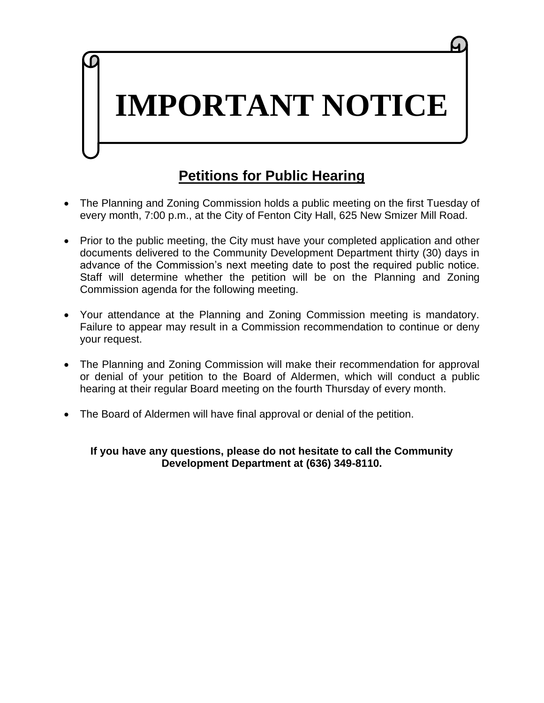# **IMPORTANT NOTICE**

# **Petitions for Public Hearing**

- The Planning and Zoning Commission holds a public meeting on the first Tuesday of every month, 7:00 p.m., at the City of Fenton City Hall, 625 New Smizer Mill Road.
- Prior to the public meeting, the City must have your completed application and other documents delivered to the Community Development Department thirty (30) days in advance of the Commission's next meeting date to post the required public notice. Staff will determine whether the petition will be on the Planning and Zoning Commission agenda for the following meeting.
- Your attendance at the Planning and Zoning Commission meeting is mandatory. Failure to appear may result in a Commission recommendation to continue or deny your request.
- The Planning and Zoning Commission will make their recommendation for approval or denial of your petition to the Board of Aldermen, which will conduct a public hearing at their regular Board meeting on the fourth Thursday of every month.
- The Board of Aldermen will have final approval or denial of the petition.

## **If you have any questions, please do not hesitate to call the Community Development Department at (636) 349-8110.**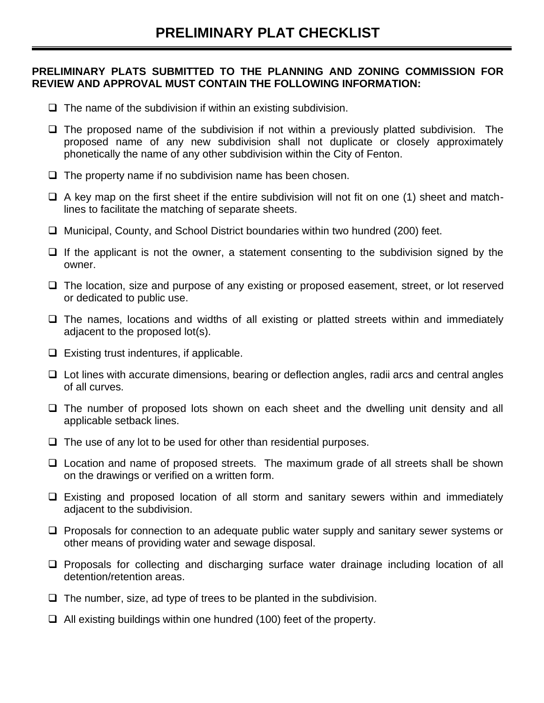## **PRELIMINARY PLATS SUBMITTED TO THE PLANNING AND ZONING COMMISSION FOR REVIEW AND APPROVAL MUST CONTAIN THE FOLLOWING INFORMATION:**

- $\Box$  The name of the subdivision if within an existing subdivision.
- ❑ The proposed name of the subdivision if not within a previously platted subdivision. The proposed name of any new subdivision shall not duplicate or closely approximately phonetically the name of any other subdivision within the City of Fenton.
- ❑ The property name if no subdivision name has been chosen.
- $\Box$  A key map on the first sheet if the entire subdivision will not fit on one (1) sheet and matchlines to facilitate the matching of separate sheets.
- ❑ Municipal, County, and School District boundaries within two hundred (200) feet.
- $\Box$  If the applicant is not the owner, a statement consenting to the subdivision signed by the owner.
- ❑ The location, size and purpose of any existing or proposed easement, street, or lot reserved or dedicated to public use.
- ❑ The names, locations and widths of all existing or platted streets within and immediately adjacent to the proposed lot(s).
- $\Box$  Existing trust indentures, if applicable.
- ❑ Lot lines with accurate dimensions, bearing or deflection angles, radii arcs and central angles of all curves.
- ❑ The number of proposed lots shown on each sheet and the dwelling unit density and all applicable setback lines.
- ❑ The use of any lot to be used for other than residential purposes.
- ❑ Location and name of proposed streets. The maximum grade of all streets shall be shown on the drawings or verified on a written form.
- ❑ Existing and proposed location of all storm and sanitary sewers within and immediately adjacent to the subdivision.
- ❑ Proposals for connection to an adequate public water supply and sanitary sewer systems or other means of providing water and sewage disposal.
- ❑ Proposals for collecting and discharging surface water drainage including location of all detention/retention areas.
- $\Box$  The number, size, ad type of trees to be planted in the subdivision.
- ❑ All existing buildings within one hundred (100) feet of the property.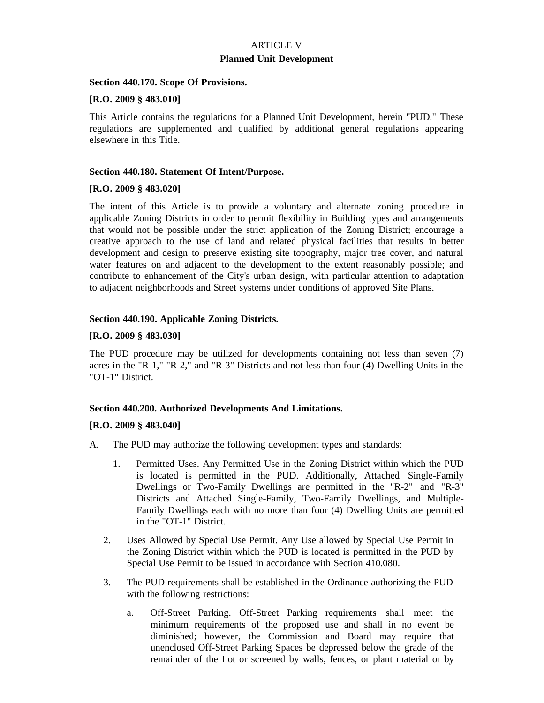## ARTICLE V **Planned Unit Development**

#### **Section 440.170. Scope Of Provisions.**

#### **[R.O. 2009 § 483.010]**

This Article contains the regulations for a Planned Unit Development, herein "PUD." These regulations are supplemented and qualified by additional general regulations appearing elsewhere in this Title.

#### **Section 440.180. Statement Of Intent/Purpose.**

#### **[R.O. 2009 § 483.020]**

The intent of this Article is to provide a voluntary and alternate zoning procedure in applicable Zoning Districts in order to permit flexibility in Building types and arrangements that would not be possible under the strict application of the Zoning District; encourage a creative approach to the use of land and related physical facilities that results in better development and design to preserve existing site topography, major tree cover, and natural water features on and adjacent to the development to the extent reasonably possible; and contribute to enhancement of the City's urban design, with particular attention to adaptation to adjacent neighborhoods and Street systems under conditions of approved Site Plans.

#### **Section 440.190. Applicable Zoning Districts.**

#### **[R.O. 2009 § 483.030]**

The PUD procedure may be utilized for developments containing not less than seven (7) acres in the "R-1," "R-2," and "R-3" Districts and not less than four (4) Dwelling Units in the "OT-1" District.

#### **Section 440.200. Authorized Developments And Limitations.**

#### **[R.O. 2009 § 483.040]**

- A. The PUD may authorize the following development types and standards:
	- 1. Permitted Uses. Any Permitted Use in the Zoning District within which the PUD is located is permitted in the PUD. Additionally, Attached Single-Family Dwellings or Two-Family Dwellings are permitted in the "R-2" and "R-3" Districts and Attached Single-Family, Two-Family Dwellings, and Multiple-Family Dwellings each with no more than four (4) Dwelling Units are permitted in the "OT-1" District.
	- 2. Uses Allowed by Special Use Permit. Any Use allowed by Special Use Permit in the Zoning District within which the PUD is located is permitted in the PUD by Special Use Permit to be issued in accordance with Section 410.080.
	- 3. The PUD requirements shall be established in the Ordinance authorizing the PUD with the following restrictions:
		- a. Off-Street Parking. Off-Street Parking requirements shall meet the minimum requirements of the proposed use and shall in no event be diminished; however, the Commission and Board may require that unenclosed Off-Street Parking Spaces be depressed below the grade of the remainder of the Lot or screened by walls, fences, or plant material or by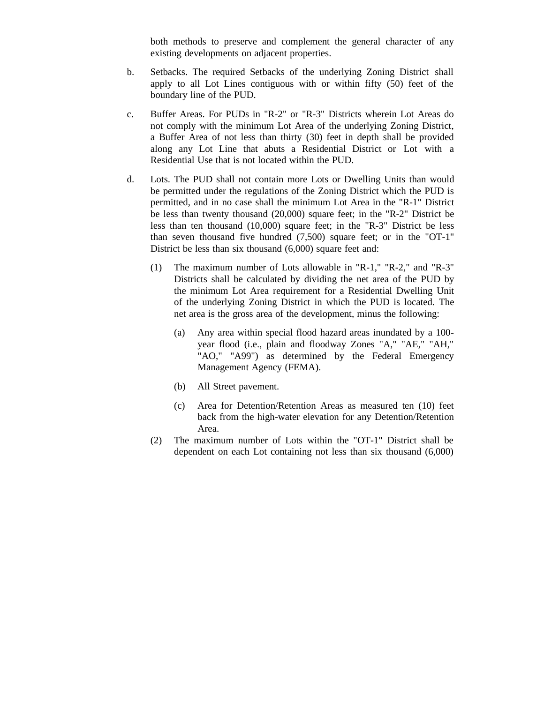both methods to preserve and complement the general character of any existing developments on adjacent properties.

- b. Setbacks. The required Setbacks of the underlying Zoning District shall apply to all Lot Lines contiguous with or within fifty (50) feet of the boundary line of the PUD.
- c. Buffer Areas. For PUDs in "R-2" or "R-3" Districts wherein Lot Areas do not comply with the minimum Lot Area of the underlying Zoning District, a Buffer Area of not less than thirty (30) feet in depth shall be provided along any Lot Line that abuts a Residential District or Lot with a Residential Use that is not located within the PUD.
- d. Lots. The PUD shall not contain more Lots or Dwelling Units than would be permitted under the regulations of the Zoning District which the PUD is permitted, and in no case shall the minimum Lot Area in the "R-1" District be less than twenty thousand (20,000) square feet; in the "R-2" District be less than ten thousand (10,000) square feet; in the "R-3" District be less than seven thousand five hundred (7,500) square feet; or in the "OT-1" District be less than six thousand (6,000) square feet and:
	- (1) The maximum number of Lots allowable in "R-1," "R-2," and "R-3" Districts shall be calculated by dividing the net area of the PUD by the minimum Lot Area requirement for a Residential Dwelling Unit of the underlying Zoning District in which the PUD is located. The net area is the gross area of the development, minus the following:
		- (a) Any area within special flood hazard areas inundated by a 100 year flood (i.e., plain and floodway Zones "A," "AE," "AH," "AO," "A99") as determined by the Federal Emergency Management Agency (FEMA).
		- (b) All Street pavement.
		- (c) Area for Detention/Retention Areas as measured ten (10) feet back from the high-water elevation for any Detention/Retention Area.
	- (2) The maximum number of Lots within the "OT-1" District shall be dependent on each Lot containing not less than six thousand (6,000)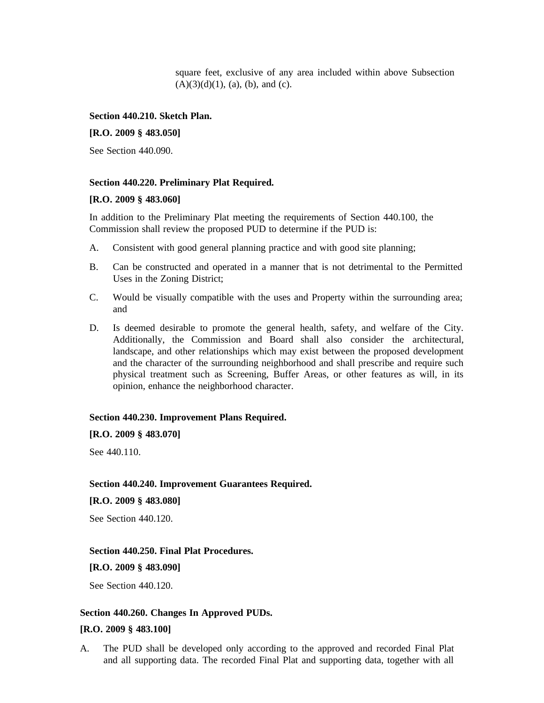square feet, exclusive of any area included within above Subsection  $(A)(3)(d)(1)$ , (a), (b), and (c).

#### **Section 440.210. Sketch Plan.**

#### **[R.O. 2009 § 483.050]**

See Section 440.090.

#### **Section 440.220. Preliminary Plat Required.**

#### **[R.O. 2009 § 483.060]**

In addition to the Preliminary Plat meeting the requirements of Section 440.100, the Commission shall review the proposed PUD to determine if the PUD is:

- A. Consistent with good general planning practice and with good site planning;
- B. Can be constructed and operated in a manner that is not detrimental to the Permitted Uses in the Zoning District;
- C. Would be visually compatible with the uses and Property within the surrounding area; and
- D. Is deemed desirable to promote the general health, safety, and welfare of the City. Additionally, the Commission and Board shall also consider the architectural, landscape, and other relationships which may exist between the proposed development and the character of the surrounding neighborhood and shall prescribe and require such physical treatment such as Screening, Buffer Areas, or other features as will, in its opinion, enhance the neighborhood character.

#### **Section 440.230. Improvement Plans Required.**

**[R.O. 2009 § 483.070]**

See 440.110.

#### **Section 440.240. Improvement Guarantees Required.**

#### **[R.O. 2009 § 483.080]**

See Section 440.120.

#### **Section 440.250. Final Plat Procedures.**

**[R.O. 2009 § 483.090]**

See Section 440.120.

#### **Section 440.260. Changes In Approved PUDs.**

#### **[R.O. 2009 § 483.100]**

A. The PUD shall be developed only according to the approved and recorded Final Plat and all supporting data. The recorded Final Plat and supporting data, together with all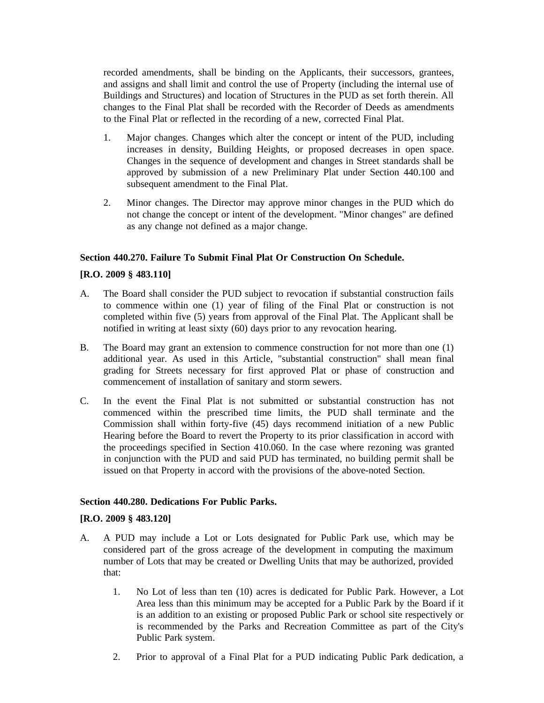recorded amendments, shall be binding on the Applicants, their successors, grantees, and assigns and shall limit and control the use of Property (including the internal use of Buildings and Structures) and location of Structures in the PUD as set forth therein. All changes to the Final Plat shall be recorded with the Recorder of Deeds as amendments to the Final Plat or reflected in the recording of a new, corrected Final Plat.

- 1. Major changes. Changes which alter the concept or intent of the PUD, including increases in density, Building Heights, or proposed decreases in open space. Changes in the sequence of development and changes in Street standards shall be approved by submission of a new Preliminary Plat under Section 440.100 and subsequent amendment to the Final Plat.
- 2. Minor changes. The Director may approve minor changes in the PUD which do not change the concept or intent of the development. "Minor changes" are defined as any change not defined as a major change.

#### **Section 440.270. Failure To Submit Final Plat Or Construction On Schedule.**

#### **[R.O. 2009 § 483.110]**

- A. The Board shall consider the PUD subject to revocation if substantial construction fails to commence within one (1) year of filing of the Final Plat or construction is not completed within five (5) years from approval of the Final Plat. The Applicant shall be notified in writing at least sixty (60) days prior to any revocation hearing.
- B. The Board may grant an extension to commence construction for not more than one (1) additional year. As used in this Article, "substantial construction" shall mean final grading for Streets necessary for first approved Plat or phase of construction and commencement of installation of sanitary and storm sewers.
- C. In the event the Final Plat is not submitted or substantial construction has not commenced within the prescribed time limits, the PUD shall terminate and the Commission shall within forty-five (45) days recommend initiation of a new Public Hearing before the Board to revert the Property to its prior classification in accord with the proceedings specified in Section 410.060. In the case where rezoning was granted in conjunction with the PUD and said PUD has terminated, no building permit shall be issued on that Property in accord with the provisions of the above-noted Section.

#### **Section 440.280. Dedications For Public Parks.**

#### **[R.O. 2009 § 483.120]**

- A. A PUD may include a Lot or Lots designated for Public Park use, which may be considered part of the gross acreage of the development in computing the maximum number of Lots that may be created or Dwelling Units that may be authorized, provided that:
	- 1. No Lot of less than ten (10) acres is dedicated for Public Park. However, a Lot Area less than this minimum may be accepted for a Public Park by the Board if it is an addition to an existing or proposed Public Park or school site respectively or is recommended by the Parks and Recreation Committee as part of the City's Public Park system.
	- 2. Prior to approval of a Final Plat for a PUD indicating Public Park dedication, a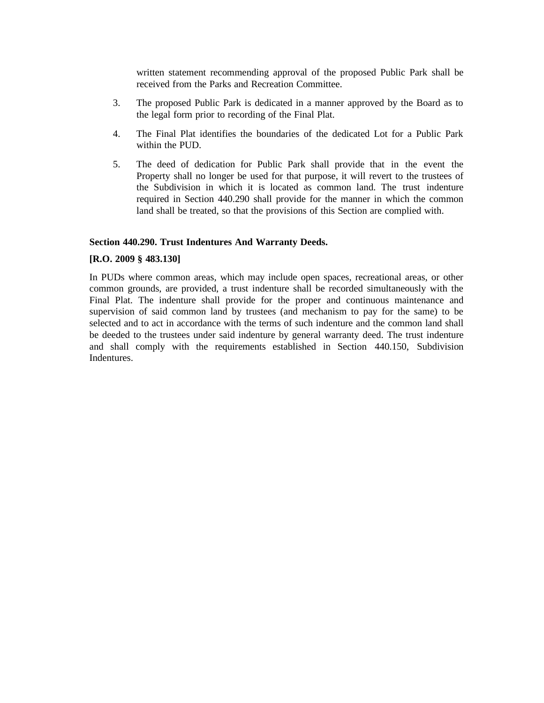written statement recommending approval of the proposed Public Park shall be received from the Parks and Recreation Committee.

- 3. The proposed Public Park is dedicated in a manner approved by the Board as to the legal form prior to recording of the Final Plat.
- 4. The Final Plat identifies the boundaries of the dedicated Lot for a Public Park within the PUD.
- 5. The deed of dedication for Public Park shall provide that in the event the Property shall no longer be used for that purpose, it will revert to the trustees of the Subdivision in which it is located as common land. The trust indenture required in Section 440.290 shall provide for the manner in which the common land shall be treated, so that the provisions of this Section are complied with.

#### **Section 440.290. Trust Indentures And Warranty Deeds.**

#### **[R.O. 2009 § 483.130]**

In PUDs where common areas, which may include open spaces, recreational areas, or other common grounds, are provided, a trust indenture shall be recorded simultaneously with the Final Plat. The indenture shall provide for the proper and continuous maintenance and supervision of said common land by trustees (and mechanism to pay for the same) to be selected and to act in accordance with the terms of such indenture and the common land shall be deeded to the trustees under said indenture by general warranty deed. The trust indenture and shall comply with the requirements established in Section 440.150, Subdivision Indentures.